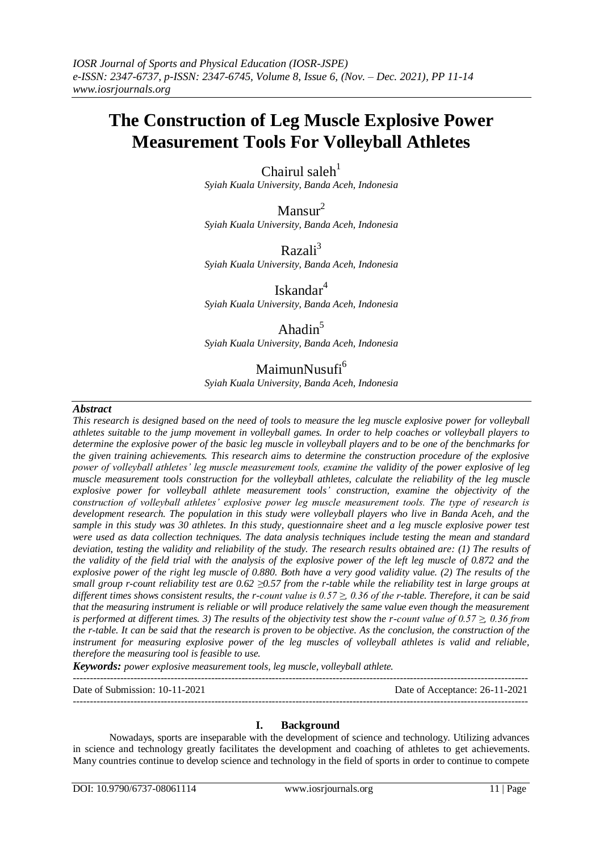# **The Construction of Leg Muscle Explosive Power Measurement Tools For Volleyball Athletes**

Chairul saleh $1$ 

*Syiah Kuala University, Banda Aceh, Indonesia*

 $Mansur<sup>2</sup>$ *Syiah Kuala University, Banda Aceh, Indonesia*

 $Razali<sup>3</sup>$ *Syiah Kuala University, Banda Aceh, Indonesia*

Iskandar<sup>4</sup> *Syiah Kuala University, Banda Aceh, Indonesia*

### Ahadin<sup>5</sup>

*Syiah Kuala University, Banda Aceh, Indonesia*

## MaimunNusufi<sup>6</sup>

*Syiah Kuala University, Banda Aceh, Indonesia*

#### *Abstract*

*This research is designed based on the need of tools to measure the leg muscle explosive power for volleyball athletes suitable to the jump movement in volleyball games. In order to help coaches or volleyball players to determine the explosive power of the basic leg muscle in volleyball players and to be one of the benchmarks for the given training achievements. This research aims to determine the construction procedure of the explosive power of volleyball athletes' leg muscle measurement tools, examine the validity of the power explosive of leg muscle measurement tools construction for the volleyball athletes, calculate the reliability of the leg muscle explosive power for volleyball athlete measurement tools' construction, examine the objectivity of the construction of volleyball athletes' explosive power leg muscle measurement tools. The type of research is development research. The population in this study were volleyball players who live in Banda Aceh, and the sample in this study was 30 athletes. In this study, questionnaire sheet and a leg muscle explosive power test were used as data collection techniques. The data analysis techniques include testing the mean and standard deviation, testing the validity and reliability of the study. The research results obtained are: (1) The results of the validity of the field trial with the analysis of the explosive power of the left leg muscle of 0.872 and the explosive power of the right leg muscle of 0.880. Both have a very good validity value. (2) The results of the small group r-count reliability test are 0.62 ≥0.57 from the r-table while the reliability test in large groups at different times shows consistent results, the r-count value is 0.57 ≥, 0.36 of the r-table. Therefore, it can be said that the measuring instrument is reliable or will produce relatively the same value even though the measurement is performed at different times. 3) The results of the objectivity test show the r-count value of*  $0.57 \geq 0.36$  *from the r-table. It can be said that the research is proven to be objective. As the conclusion, the construction of the instrument for measuring explosive power of the leg muscles of volleyball athletes is valid and reliable, therefore the measuring tool is feasible to use.*

*Keywords: power explosive measurement tools, leg muscle, volleyball athlete.* ---------------------------------------------------------------------------------------------------------------------------------------

Date of Submission: 10-11-2021 Date of Acceptance: 26-11-2021

---------------------------------------------------------------------------------------------------------------------------------------

#### **I. Background**

Nowadays, sports are inseparable with the development of science and technology. Utilizing advances in science and technology greatly facilitates the development and coaching of athletes to get achievements. Many countries continue to develop science and technology in the field of sports in order to continue to compete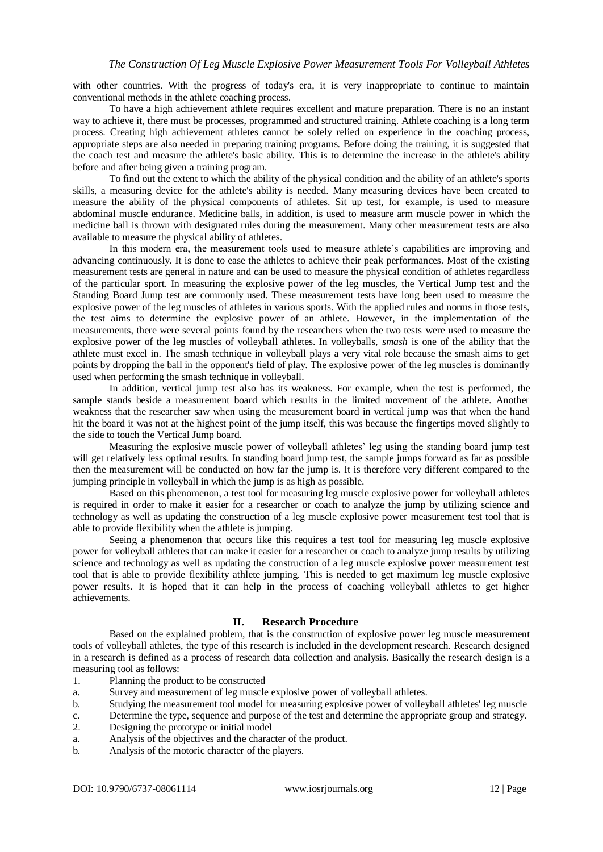with other countries. With the progress of today's era, it is very inappropriate to continue to maintain conventional methods in the athlete coaching process.

To have a high achievement athlete requires excellent and mature preparation. There is no an instant way to achieve it, there must be processes, programmed and structured training. Athlete coaching is a long term process. Creating high achievement athletes cannot be solely relied on experience in the coaching process, appropriate steps are also needed in preparing training programs. Before doing the training, it is suggested that the coach test and measure the athlete's basic ability. This is to determine the increase in the athlete's ability before and after being given a training program.

To find out the extent to which the ability of the physical condition and the ability of an athlete's sports skills, a measuring device for the athlete's ability is needed. Many measuring devices have been created to measure the ability of the physical components of athletes. Sit up test, for example, is used to measure abdominal muscle endurance. Medicine balls, in addition, is used to measure arm muscle power in which the medicine ball is thrown with designated rules during the measurement. Many other measurement tests are also available to measure the physical ability of athletes.

In this modern era, the measurement tools used to measure athlete's capabilities are improving and advancing continuously. It is done to ease the athletes to achieve their peak performances. Most of the existing measurement tests are general in nature and can be used to measure the physical condition of athletes regardless of the particular sport. In measuring the explosive power of the leg muscles, the Vertical Jump test and the Standing Board Jump test are commonly used. These measurement tests have long been used to measure the explosive power of the leg muscles of athletes in various sports. With the applied rules and norms in those tests, the test aims to determine the explosive power of an athlete. However, in the implementation of the measurements, there were several points found by the researchers when the two tests were used to measure the explosive power of the leg muscles of volleyball athletes. In volleyballs, *smash* is one of the ability that the athlete must excel in. The smash technique in volleyball plays a very vital role because the smash aims to get points by dropping the ball in the opponent's field of play. The explosive power of the leg muscles is dominantly used when performing the smash technique in volleyball.

In addition, vertical jump test also has its weakness. For example, when the test is performed, the sample stands beside a measurement board which results in the limited movement of the athlete. Another weakness that the researcher saw when using the measurement board in vertical jump was that when the hand hit the board it was not at the highest point of the jump itself, this was because the fingertips moved slightly to the side to touch the Vertical Jump board.

Measuring the explosive muscle power of volleyball athletes' leg using the standing board jump test will get relatively less optimal results. In standing board jump test, the sample jumps forward as far as possible then the measurement will be conducted on how far the jump is. It is therefore very different compared to the jumping principle in volleyball in which the jump is as high as possible.

Based on this phenomenon, a test tool for measuring leg muscle explosive power for volleyball athletes is required in order to make it easier for a researcher or coach to analyze the jump by utilizing science and technology as well as updating the construction of a leg muscle explosive power measurement test tool that is able to provide flexibility when the athlete is jumping.

Seeing a phenomenon that occurs like this requires a test tool for measuring leg muscle explosive power for volleyball athletes that can make it easier for a researcher or coach to analyze jump results by utilizing science and technology as well as updating the construction of a leg muscle explosive power measurement test tool that is able to provide flexibility athlete jumping. This is needed to get maximum leg muscle explosive power results. It is hoped that it can help in the process of coaching volleyball athletes to get higher achievements.

#### **II. Research Procedure**

Based on the explained problem, that is the construction of explosive power leg muscle measurement tools of volleyball athletes, the type of this research is included in the development research. Research designed in a research is defined as a process of research data collection and analysis. Basically the research design is a measuring tool as follows:

- 1. Planning the product to be constructed
- a. Survey and measurement of leg muscle explosive power of volleyball athletes.
- b. Studying the measurement tool model for measuring explosive power of volleyball athletes' leg muscle
- c. Determine the type, sequence and purpose of the test and determine the appropriate group and strategy.
- 2. Designing the prototype or initial model
- a. Analysis of the objectives and the character of the product.
- b. Analysis of the motoric character of the players.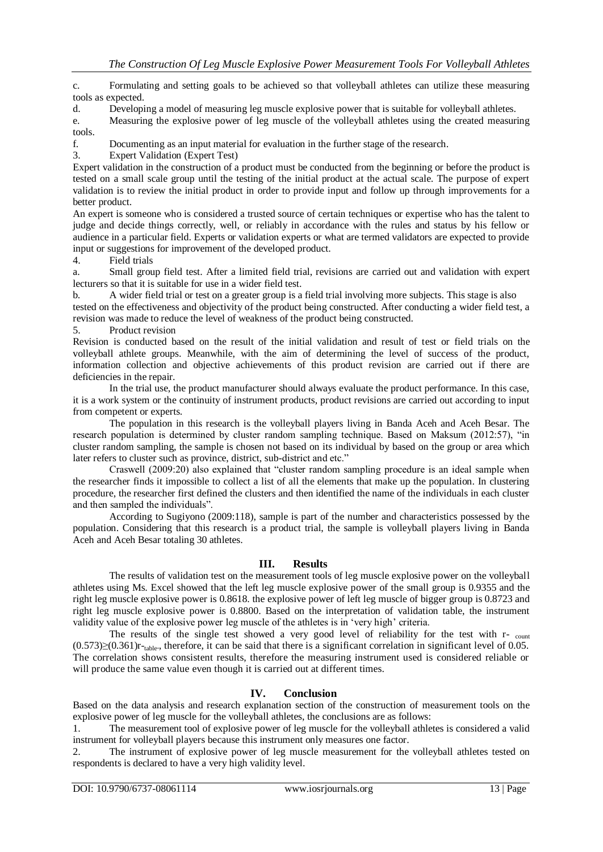c. Formulating and setting goals to be achieved so that volleyball athletes can utilize these measuring tools as expected.

d. Developing a model of measuring leg muscle explosive power that is suitable for volleyball athletes.

e. Measuring the explosive power of leg muscle of the volleyball athletes using the created measuring tools.

f. Documenting as an input material for evaluation in the further stage of the research.

3. Expert Validation (Expert Test)

Expert validation in the construction of a product must be conducted from the beginning or before the product is tested on a small scale group until the testing of the initial product at the actual scale. The purpose of expert validation is to review the initial product in order to provide input and follow up through improvements for a better product.

An expert is someone who is considered a trusted source of certain techniques or expertise who has the talent to judge and decide things correctly, well, or reliably in accordance with the rules and status by his fellow or audience in a particular field. Experts or validation experts or what are termed validators are expected to provide input or suggestions for improvement of the developed product.

4. Field trials

a. Small group field test. After a limited field trial, revisions are carried out and validation with expert lecturers so that it is suitable for use in a wider field test.

b. A wider field trial or test on a greater group is a field trial involving more subjects. This stage is also tested on the effectiveness and objectivity of the product being constructed. After conducting a wider field test, a revision was made to reduce the level of weakness of the product being constructed.

5. Product revision

Revision is conducted based on the result of the initial validation and result of test or field trials on the volleyball athlete groups. Meanwhile, with the aim of determining the level of success of the product, information collection and objective achievements of this product revision are carried out if there are deficiencies in the repair.

In the trial use, the product manufacturer should always evaluate the product performance. In this case, it is a work system or the continuity of instrument products, product revisions are carried out according to input from competent or experts.

The population in this research is the volleyball players living in Banda Aceh and Aceh Besar. The research population is determined by cluster random sampling technique. Based on Maksum (2012:57), "in cluster random sampling, the sample is chosen not based on its individual by based on the group or area which later refers to cluster such as province, district, sub-district and etc."

Craswell (2009:20) also explained that "cluster random sampling procedure is an ideal sample when the researcher finds it impossible to collect a list of all the elements that make up the population. In clustering procedure, the researcher first defined the clusters and then identified the name of the individuals in each cluster and then sampled the individuals".

According to Sugiyono (2009:118), sample is part of the number and characteristics possessed by the population. Considering that this research is a product trial, the sample is volleyball players living in Banda Aceh and Aceh Besar totaling 30 athletes.

#### **III. Results**

The results of validation test on the measurement tools of leg muscle explosive power on the volleyball athletes using Ms. Excel showed that the left leg muscle explosive power of the small group is 0.9355 and the right leg muscle explosive power is 0.8618. the explosive power of left leg muscle of bigger group is 0.8723 and right leg muscle explosive power is 0.8800. Based on the interpretation of validation table, the instrument validity value of the explosive power leg muscle of the athletes is in 'very high' criteria.

The results of the single test showed a very good level of reliability for the test with r- count  $(0.573) \geq (0.361) r$ <sup>-table</sup>., therefore, it can be said that there is a significant correlation in significant level of 0.05. The correlation shows consistent results, therefore the measuring instrument used is considered reliable or will produce the same value even though it is carried out at different times.

### **IV. Conclusion**

Based on the data analysis and research explanation section of the construction of measurement tools on the explosive power of leg muscle for the volleyball athletes, the conclusions are as follows:

1. The measurement tool of explosive power of leg muscle for the volleyball athletes is considered a valid instrument for volleyball players because this instrument only measures one factor.

2. The instrument of explosive power of leg muscle measurement for the volleyball athletes tested on respondents is declared to have a very high validity level.